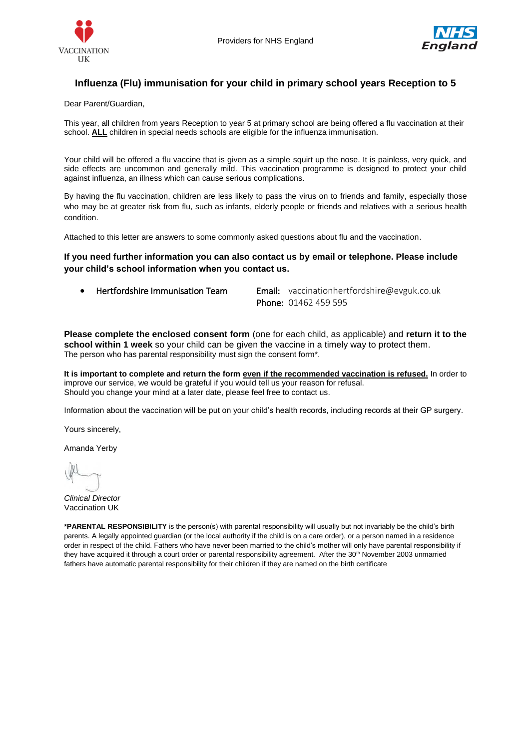



# **Influenza (Flu) immunisation for your child in primary school years Reception to 5**

Dear Parent/Guardian,

This year, all children from years Reception to year 5 at primary school are being offered a flu vaccination at their school. **ALL** children in special needs schools are eligible for the influenza immunisation.

Your child will be offered a flu vaccine that is given as a simple squirt up the nose. It is painless, very quick, and side effects are uncommon and generally mild. This vaccination programme is designed to protect your child against influenza, an illness which can cause serious complications.

By having the flu vaccination, children are less likely to pass the virus on to friends and family, especially those who may be at greater risk from flu, such as infants, elderly people or friends and relatives with a serious health condition.

Attached to this letter are answers to some commonly asked questions about flu and the vaccination.

**If you need further information you can also contact us by email or telephone. Please include your child's school information when you contact us.**

• Hertfordshire Immunisation Team Email: [vaccinationhertfordshire@evguk.co.uk](mailto:vaccinationhertfordshire@evguk.co.uk) Phone: 01462 459 595

**Please complete the enclosed consent form** (one for each child, as applicable) and **return it to the school within 1 week** so your child can be given the vaccine in a timely way to protect them. The person who has parental responsibility must sign the consent form\*.

**It is important to complete and return the form even if the recommended vaccination is refused.** In order to improve our service, we would be grateful if you would tell us your reason for refusal. Should you change your mind at a later date, please feel free to contact us.

Information about the vaccination will be put on your child's health records, including records at their GP surgery.

Yours sincerely,

Amanda Yerby

*Clinical Director*  Vaccination UK

**\*PARENTAL RESPONSIBILITY** is the person(s) with parental responsibility will usually but not invariably be the child's birth parents. A legally appointed guardian (or the local authority if the child is on a care order), or a person named in a residence order in respect of the child. Fathers who have never been married to the child's mother will only have parental responsibility if they have acquired it through a court order or parental responsibility agreement. After the 30<sup>th</sup> November 2003 unmarried fathers have automatic parental responsibility for their children if they are named on the birth certificate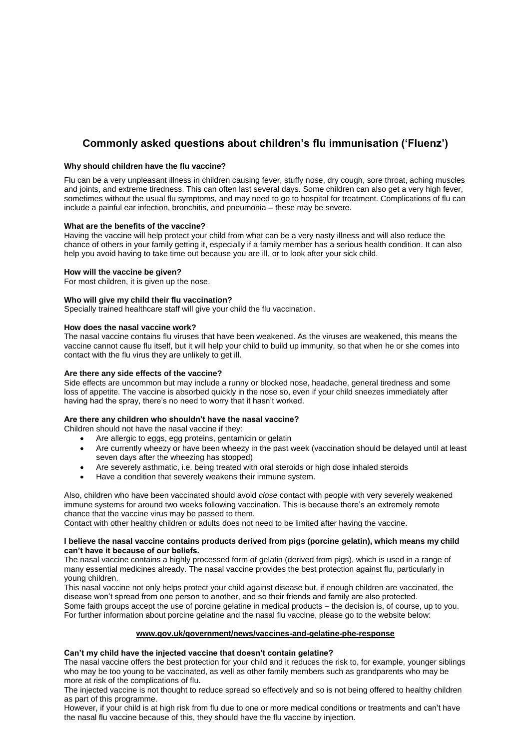# **Commonly asked questions about children's flu immunisation ('Fluenz')**

# **Why should children have the flu vaccine?**

Flu can be a very unpleasant illness in children causing fever, stuffy nose, dry cough, sore throat, aching muscles and joints, and extreme tiredness. This can often last several days. Some children can also get a very high fever, sometimes without the usual flu symptoms, and may need to go to hospital for treatment. Complications of flu can include a painful ear infection, bronchitis, and pneumonia – these may be severe.

#### **What are the benefits of the vaccine?**

Having the vaccine will help protect your child from what can be a very nasty illness and will also reduce the chance of others in your family getting it, especially if a family member has a serious health condition. It can also help you avoid having to take time out because you are ill, or to look after your sick child.

#### **How will the vaccine be given?**

For most children, it is given up the nose.

#### **Who will give my child their flu vaccination?**

Specially trained healthcare staff will give your child the flu vaccination.

# **How does the nasal vaccine work?**

The nasal vaccine contains flu viruses that have been weakened. As the viruses are weakened, this means the vaccine cannot cause flu itself, but it will help your child to build up immunity, so that when he or she comes into contact with the flu virus they are unlikely to get ill.

#### **Are there any side effects of the vaccine?**

Side effects are uncommon but may include a runny or blocked nose, headache, general tiredness and some loss of appetite. The vaccine is absorbed quickly in the nose so, even if your child sneezes immediately after having had the spray, there's no need to worry that it hasn't worked.

#### **Are there any children who shouldn't have the nasal vaccine?**

Children should not have the nasal vaccine if they:

- Are allergic to eggs, egg proteins, gentamicin or gelatin
- Are currently wheezy or have been wheezy in the past week (vaccination should be delayed until at least seven days after the wheezing has stopped)
- Are severely asthmatic, i.e. being treated with oral steroids or high dose inhaled steroids
- Have a condition that severely weakens their immune system.

Also, children who have been vaccinated should avoid *close* contact with people with very severely weakened immune systems for around two weeks following vaccination. This is because there's an extremely remote chance that the vaccine virus may be passed to them.

Contact with other healthy children or adults does not need to be limited after having the vaccine.

#### **I believe the nasal vaccine contains products derived from pigs (porcine gelatin), which means my child can't have it because of our beliefs.**

The nasal vaccine contains a highly processed form of gelatin (derived from pigs), which is used in a range of many essential medicines already. The nasal vaccine provides the best protection against flu, particularly in young children.

This nasal vaccine not only helps protect your child against disease but, if enough children are vaccinated, the disease won't spread from one person to another, and so their friends and family are also protected. Some faith groups accept the use of porcine gelatine in medical products – the decision is, of course, up to you. For further information about porcine gelatine and the nasal flu vaccine, please go to the website below:

# **[www.gov.uk/government/news/vaccines-and-gelatine-phe-response](http://www.gov.uk/government/news/vaccines-and-gelatine-phe-response)**

# **Can't my child have the injected vaccine that doesn't contain gelatine?**

The nasal vaccine offers the best protection for your child and it reduces the risk to, for example, younger siblings who may be too young to be vaccinated, as well as other family members such as grandparents who may be more at risk of the complications of flu.

The injected vaccine is not thought to reduce spread so effectively and so is not being offered to healthy children as part of this programme.

However, if your child is at high risk from flu due to one or more medical conditions or treatments and can't have the nasal flu vaccine because of this, they should have the flu vaccine by injection.